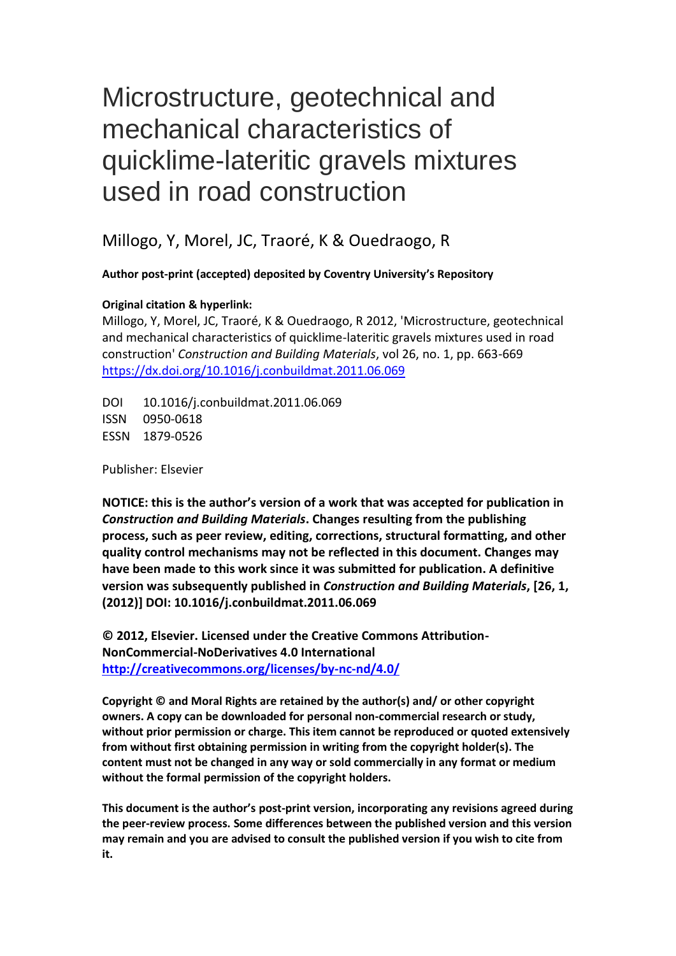# Microstructure, geotechnical and mechanical characteristics of quicklime-lateritic gravels mixtures used in road construction

Millogo, Y, Morel, JC, Traoré, K & Ouedraogo, R

**Author post-print (accepted) deposited by Coventry University's Repository**

# **Original citation & hyperlink:**

Millogo, Y, Morel, JC, Traoré, K & Ouedraogo, R 2012, 'Microstructure, geotechnical and mechanical characteristics of quicklime-lateritic gravels mixtures used in road construction' *Construction and Building Materials*, vol 26, no. 1, pp. 663-669 <https://dx.doi.org/10.1016/j.conbuildmat.2011.06.069>

DOI 10.1016/j.conbuildmat.2011.06.069 ISSN 0950-0618 ESSN 1879-0526

Publisher: Elsevier

**NOTICE: this is the author's version of a work that was accepted for publication in**  *Construction and Building Materials***. Changes resulting from the publishing process, such as peer review, editing, corrections, structural formatting, and other quality control mechanisms may not be reflected in this document. Changes may have been made to this work since it was submitted for publication. A definitive version was subsequently published in** *Construction and Building Materials***, [26, 1, (2012)] DOI: 10.1016/j.conbuildmat.2011.06.069**

**© 2012, Elsevier. Licensed under the Creative Commons Attribution-NonCommercial-NoDerivatives 4.0 International <http://creativecommons.org/licenses/by-nc-nd/4.0/>**

**Copyright © and Moral Rights are retained by the author(s) and/ or other copyright owners. A copy can be downloaded for personal non-commercial research or study, without prior permission or charge. This item cannot be reproduced or quoted extensively from without first obtaining permission in writing from the copyright holder(s). The content must not be changed in any way or sold commercially in any format or medium without the formal permission of the copyright holders.** 

**This document is the author's post-print version, incorporating any revisions agreed during the peer-review process. Some differences between the published version and this version may remain and you are advised to consult the published version if you wish to cite from it.**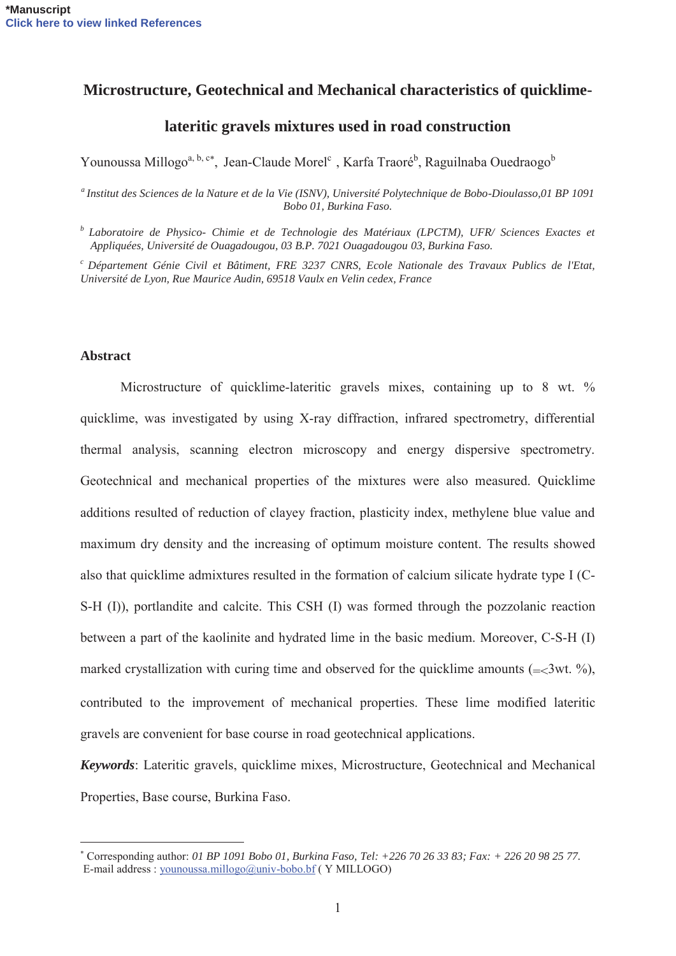# **Microstructure, Geotechnical and Mechanical characteristics of quicklime-**

# **lateritic gravels mixtures used in road construction**

Younoussa Millogo<sup>a, b, c\*</sup>, Jean-Claude Morel<sup>c</sup>, Karfa Traoré<sup>b</sup>, Raguilnaba Ouedraogo<sup>b</sup>

*a Institut des Sciences de la Nature et de la Vie (ISNV), Université Polytechnique de Bobo-Dioulasso,01 BP 1091 Bobo 01, Burkina Faso.* 

*b Laboratoire de Physico- Chimie et de Technologie des Matériaux (LPCTM), UFR/ Sciences Exactes et Appliquées, Université de Ouagadougou, 03 B.P. 7021 Ouagadougou 03, Burkina Faso.* 

*c Département Génie Civil et Bâtiment, FRE 3237 CNRS, Ecole Nationale des Travaux Publics de l'Etat, Université de Lyon, Rue Maurice Audin, 69518 Vaulx en Velin cedex, France* 

#### **Abstract**

 $\overline{a}$ 

Microstructure of quicklime-lateritic gravels mixes, containing up to 8 wt. % quicklime, was investigated by using X-ray diffraction, infrared spectrometry, differential thermal analysis, scanning electron microscopy and energy dispersive spectrometry. Geotechnical and mechanical properties of the mixtures were also measured. Quicklime additions resulted of reduction of clayey fraction, plasticity index, methylene blue value and maximum dry density and the increasing of optimum moisture content. The results showed also that quicklime admixtures resulted in the formation of calcium silicate hydrate type I (C-S-H (I)), portlandite and calcite. This CSH (I) was formed through the pozzolanic reaction between a part of the kaolinite and hydrated lime in the basic medium. Moreover, C-S-H (I) marked crystallization with curing time and observed for the quicklime amounts  $(=\langle 3wt, % \rangle)$ , contributed to the improvement of mechanical properties. These lime modified lateritic gravels are convenient for base course in road geotechnical applications.

*Keywords*: Lateritic gravels, quicklime mixes, Microstructure, Geotechnical and Mechanical Properties, Base course, Burkina Faso.

 Corresponding author: *01 BP 1091 Bobo 01, Burkina Faso, Tel: +226 70 26 33 83; Fax: + 226 20 98 25 77.*  E-mail address : younoussa.millogo@univ-bobo.bf ( Y MILLOGO)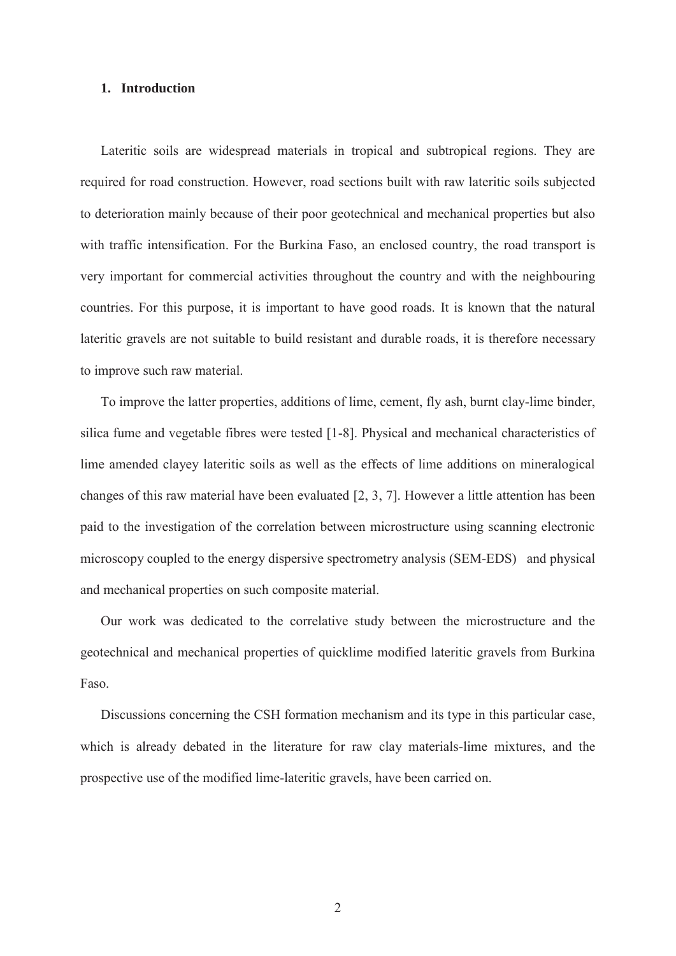#### **1. Introduction**

Lateritic soils are widespread materials in tropical and subtropical regions. They are required for road construction. However, road sections built with raw lateritic soils subjected to deterioration mainly because of their poor geotechnical and mechanical properties but also with traffic intensification. For the Burkina Faso, an enclosed country, the road transport is very important for commercial activities throughout the country and with the neighbouring countries. For this purpose, it is important to have good roads. It is known that the natural lateritic gravels are not suitable to build resistant and durable roads, it is therefore necessary to improve such raw material.

To improve the latter properties, additions of lime, cement, fly ash, burnt clay-lime binder, silica fume and vegetable fibres were tested [1-8]. Physical and mechanical characteristics of lime amended clayey lateritic soils as well as the effects of lime additions on mineralogical changes of this raw material have been evaluated [2, 3, 7]. However a little attention has been paid to the investigation of the correlation between microstructure using scanning electronic microscopy coupled to the energy dispersive spectrometry analysis (SEM-EDS) and physical and mechanical properties on such composite material.

Our work was dedicated to the correlative study between the microstructure and the geotechnical and mechanical properties of quicklime modified lateritic gravels from Burkina Faso.

Discussions concerning the CSH formation mechanism and its type in this particular case, which is already debated in the literature for raw clay materials-lime mixtures, and the prospective use of the modified lime-lateritic gravels, have been carried on.

2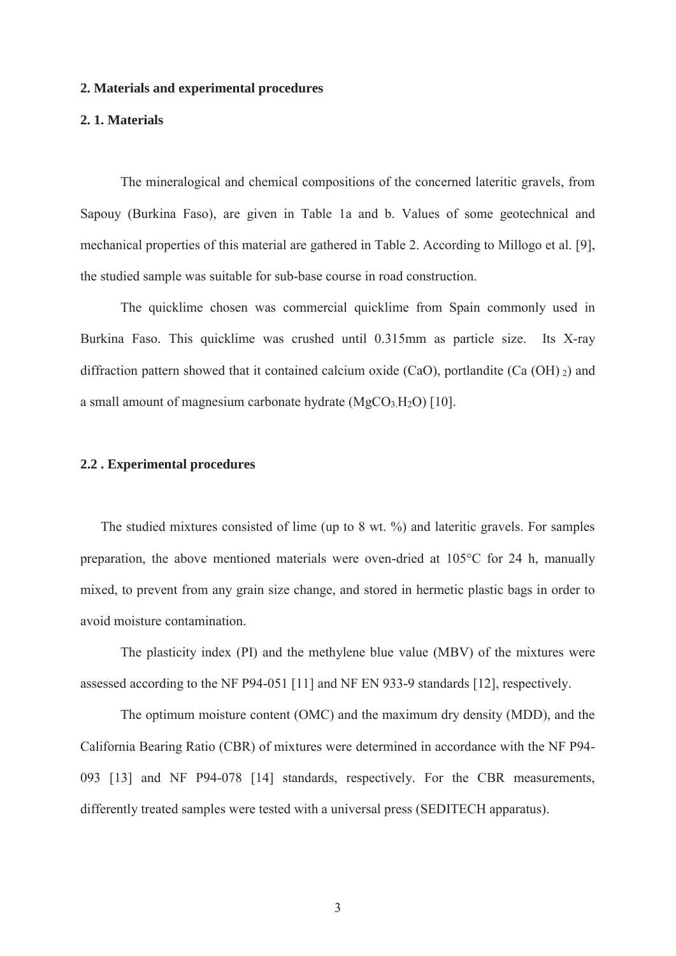#### **2. Materials and experimental procedures**

## **2. 1. Materials**

The mineralogical and chemical compositions of the concerned lateritic gravels, from Sapouy (Burkina Faso), are given in Table 1a and b. Values of some geotechnical and mechanical properties of this material are gathered in Table 2. According to Millogo et al. [9], the studied sample was suitable for sub-base course in road construction.

The quicklime chosen was commercial quicklime from Spain commonly used in Burkina Faso. This quicklime was crushed until 0.315mm as particle size. Its X-ray diffraction pattern showed that it contained calcium oxide (CaO), portlandite (Ca  $(OH)$ <sub>2</sub>) and a small amount of magnesium carbonate hydrate  $(MgCO<sub>3</sub>H<sub>2</sub>O)$  [10].

#### **2.2 . Experimental procedures**

The studied mixtures consisted of lime (up to 8 wt. %) and lateritic gravels. For samples preparation, the above mentioned materials were oven-dried at 105°C for 24 h, manually mixed, to prevent from any grain size change, and stored in hermetic plastic bags in order to avoid moisture contamination.

The plasticity index (PI) and the methylene blue value (MBV) of the mixtures were assessed according to the NF P94-051 [11] and NF EN 933-9 standards [12], respectively.

The optimum moisture content (OMC) and the maximum dry density (MDD), and the California Bearing Ratio (CBR) of mixtures were determined in accordance with the NF P94- 093 [13] and NF P94-078 [14] standards, respectively. For the CBR measurements, differently treated samples were tested with a universal press (SEDITECH apparatus).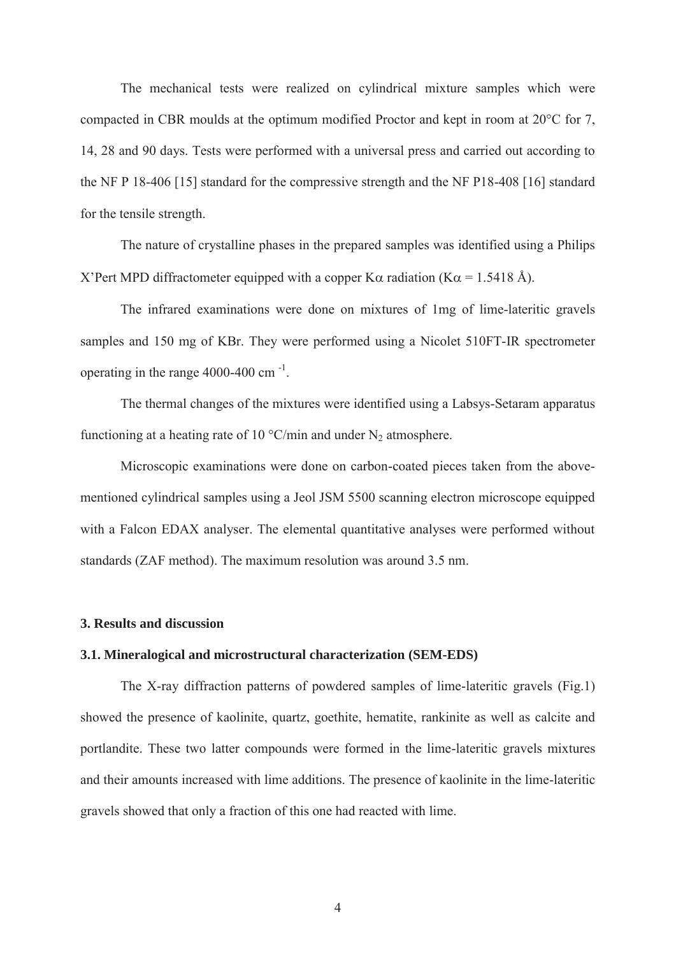The mechanical tests were realized on cylindrical mixture samples which were compacted in CBR moulds at the optimum modified Proctor and kept in room at 20°C for 7, 14, 28 and 90 days. Tests were performed with a universal press and carried out according to the NF P 18-406 [15] standard for the compressive strength and the NF P18-408 [16] standard for the tensile strength.

The nature of crystalline phases in the prepared samples was identified using a Philips X'Pert MPD diffractometer equipped with a copper K $\alpha$  radiation (K $\alpha$  = 1.5418 Å).

The infrared examinations were done on mixtures of 1mg of lime-lateritic gravels samples and 150 mg of KBr. They were performed using a Nicolet 510FT-IR spectrometer operating in the range 4000-400 cm -1.

The thermal changes of the mixtures were identified using a Labsys-Setaram apparatus functioning at a heating rate of 10  $\degree$ C/min and under N<sub>2</sub> atmosphere.

Microscopic examinations were done on carbon-coated pieces taken from the abovementioned cylindrical samples using a Jeol JSM 5500 scanning electron microscope equipped with a Falcon EDAX analyser. The elemental quantitative analyses were performed without standards (ZAF method). The maximum resolution was around 3.5 nm.

## **3. Results and discussion**

## **3.1. Mineralogical and microstructural characterization (SEM-EDS)**

The X-ray diffraction patterns of powdered samples of lime-lateritic gravels (Fig.1) showed the presence of kaolinite, quartz, goethite, hematite, rankinite as well as calcite and portlandite. These two latter compounds were formed in the lime-lateritic gravels mixtures and their amounts increased with lime additions. The presence of kaolinite in the lime-lateritic gravels showed that only a fraction of this one had reacted with lime.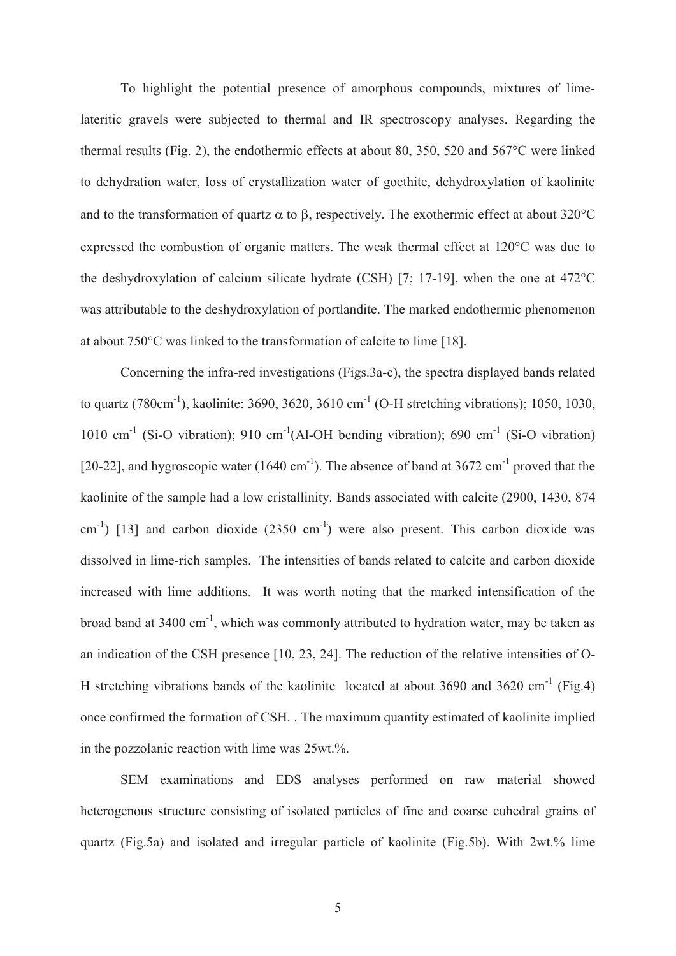To highlight the potential presence of amorphous compounds, mixtures of limelateritic gravels were subjected to thermal and IR spectroscopy analyses. Regarding the thermal results (Fig. 2), the endothermic effects at about 80, 350, 520 and 567°C were linked to dehydration water, loss of crystallization water of goethite, dehydroxylation of kaolinite and to the transformation of quartz  $\alpha$  to  $\beta$ , respectively. The exothermic effect at about 320°C expressed the combustion of organic matters. The weak thermal effect at 120°C was due to the deshydroxylation of calcium silicate hydrate (CSH) [7; 17-19], when the one at 472°C was attributable to the deshydroxylation of portlandite. The marked endothermic phenomenon at about 750°C was linked to the transformation of calcite to lime [18].

Concerning the infra-red investigations (Figs.3a-c), the spectra displayed bands related to quartz (780cm<sup>-1</sup>), kaolinite: 3690, 3620, 3610 cm<sup>-1</sup> (O-H stretching vibrations); 1050, 1030, 1010 cm<sup>-1</sup> (Si-O vibration); 910 cm<sup>-1</sup>(Al-OH bending vibration); 690 cm<sup>-1</sup> (Si-O vibration) [20-22], and hygroscopic water (1640 cm<sup>-1</sup>). The absence of band at 3672 cm<sup>-1</sup> proved that the kaolinite of the sample had a low cristallinity. Bands associated with calcite (2900, 1430, 874  $\text{cm}^{-1}$ ) [13] and carbon dioxide (2350 cm<sup>-1</sup>) were also present. This carbon dioxide was dissolved in lime-rich samples. The intensities of bands related to calcite and carbon dioxide increased with lime additions. It was worth noting that the marked intensification of the broad band at 3400 cm-1, which was commonly attributed to hydration water, may be taken as an indication of the CSH presence [10, 23, 24]. The reduction of the relative intensities of O-H stretching vibrations bands of the kaolinite located at about 3690 and 3620 cm-1 (Fig.4) once confirmed the formation of CSH. . The maximum quantity estimated of kaolinite implied in the pozzolanic reaction with lime was 25wt.%.

SEM examinations and EDS analyses performed on raw material showed heterogenous structure consisting of isolated particles of fine and coarse euhedral grains of quartz (Fig.5a) and isolated and irregular particle of kaolinite (Fig.5b). With 2wt.% lime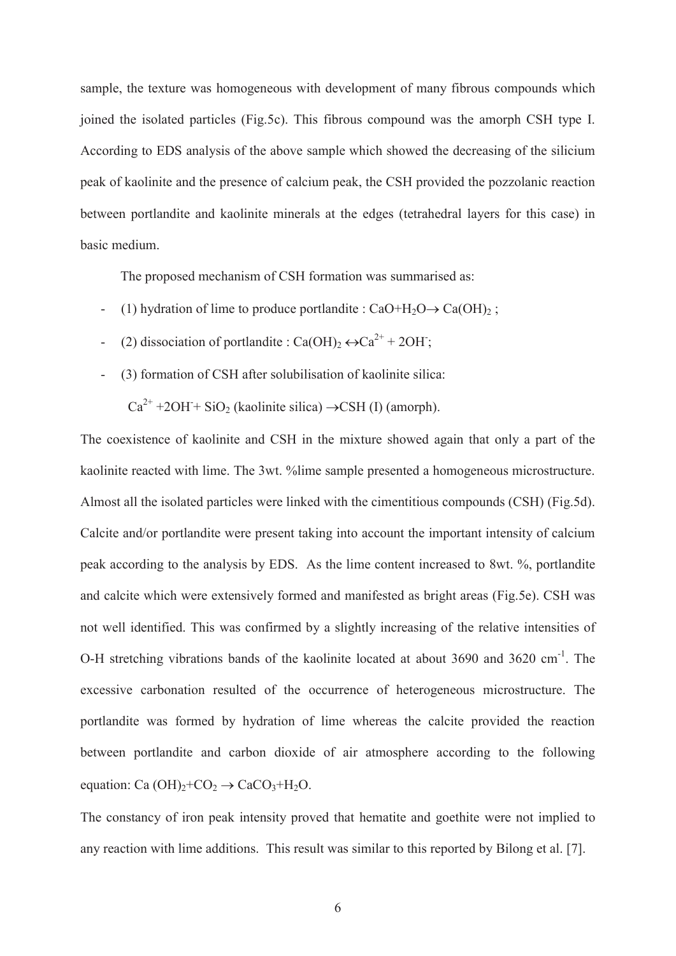sample, the texture was homogeneous with development of many fibrous compounds which joined the isolated particles (Fig.5c). This fibrous compound was the amorph CSH type I. According to EDS analysis of the above sample which showed the decreasing of the silicium peak of kaolinite and the presence of calcium peak, the CSH provided the pozzolanic reaction between portlandite and kaolinite minerals at the edges (tetrahedral layers for this case) in basic medium.

The proposed mechanism of CSH formation was summarised as:

- (1) hydration of lime to produce portlandite :  $CaO + H_2O \rightarrow Ca(OH)_2$ ;
- − (2) dissociation of portlandite : Ca(OH)<sub>2</sub>  $\leftrightarrow$ Ca<sup>2+</sup> + 2OH;
- (3) formation of CSH after solubilisation of kaolinite silica:

 $Ca^{2+} + 2OH + SiO<sub>2</sub>$  (kaolinite silica)  $\rightarrow$ CSH (I) (amorph).

The coexistence of kaolinite and CSH in the mixture showed again that only a part of the kaolinite reacted with lime. The 3wt. %lime sample presented a homogeneous microstructure. Almost all the isolated particles were linked with the cimentitious compounds (CSH) (Fig.5d). Calcite and/or portlandite were present taking into account the important intensity of calcium peak according to the analysis by EDS. As the lime content increased to 8wt. %, portlandite and calcite which were extensively formed and manifested as bright areas (Fig.5e). CSH was not well identified. This was confirmed by a slightly increasing of the relative intensities of O-H stretching vibrations bands of the kaolinite located at about 3690 and 3620 cm<sup>-1</sup>. The excessive carbonation resulted of the occurrence of heterogeneous microstructure. The portlandite was formed by hydration of lime whereas the calcite provided the reaction between portlandite and carbon dioxide of air atmosphere according to the following equation: Ca  $(OH)_2$ +CO<sub>2</sub>  $\rightarrow$  CaCO<sub>3</sub>+H<sub>2</sub>O.

The constancy of iron peak intensity proved that hematite and goethite were not implied to any reaction with lime additions. This result was similar to this reported by Bilong et al. [7].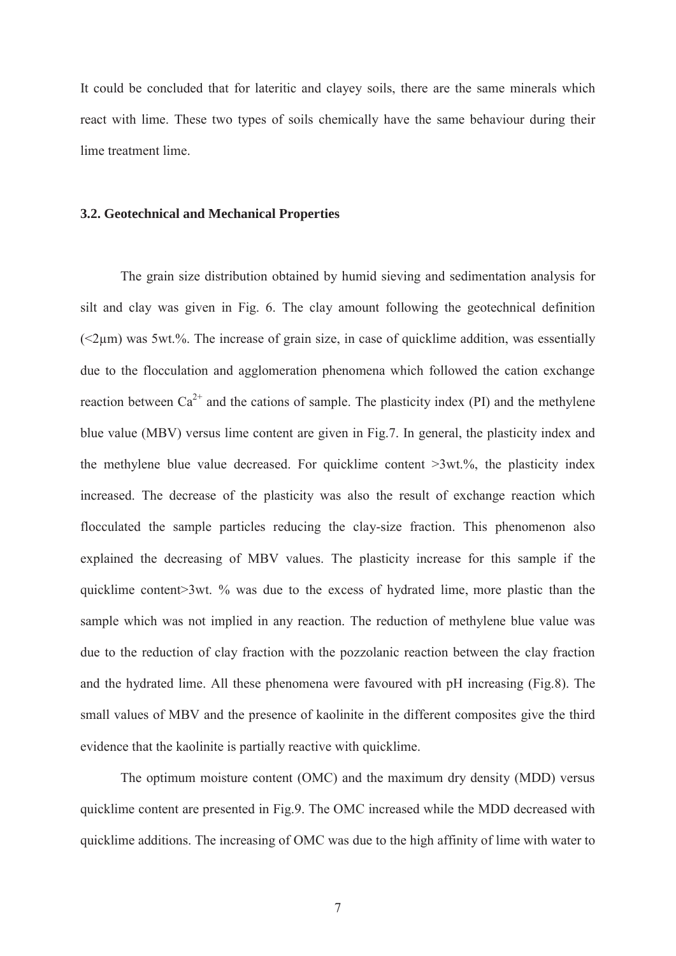It could be concluded that for lateritic and clayey soils, there are the same minerals which react with lime. These two types of soils chemically have the same behaviour during their lime treatment lime.

#### **3.2. Geotechnical and Mechanical Properties**

The grain size distribution obtained by humid sieving and sedimentation analysis for silt and clay was given in Fig. 6. The clay amount following the geotechnical definition  $\leq$ 2 $\mu$ m) was 5wt.%. The increase of grain size, in case of quicklime addition, was essentially due to the flocculation and agglomeration phenomena which followed the cation exchange reaction between  $Ca^{2+}$  and the cations of sample. The plasticity index (PI) and the methylene blue value (MBV) versus lime content are given in Fig.7. In general, the plasticity index and the methylene blue value decreased. For quicklime content >3wt.%, the plasticity index increased. The decrease of the plasticity was also the result of exchange reaction which flocculated the sample particles reducing the clay-size fraction. This phenomenon also explained the decreasing of MBV values. The plasticity increase for this sample if the quicklime content>3wt. % was due to the excess of hydrated lime, more plastic than the sample which was not implied in any reaction. The reduction of methylene blue value was due to the reduction of clay fraction with the pozzolanic reaction between the clay fraction and the hydrated lime. All these phenomena were favoured with pH increasing (Fig.8). The small values of MBV and the presence of kaolinite in the different composites give the third evidence that the kaolinite is partially reactive with quicklime.

The optimum moisture content (OMC) and the maximum dry density (MDD) versus quicklime content are presented in Fig.9. The OMC increased while the MDD decreased with quicklime additions. The increasing of OMC was due to the high affinity of lime with water to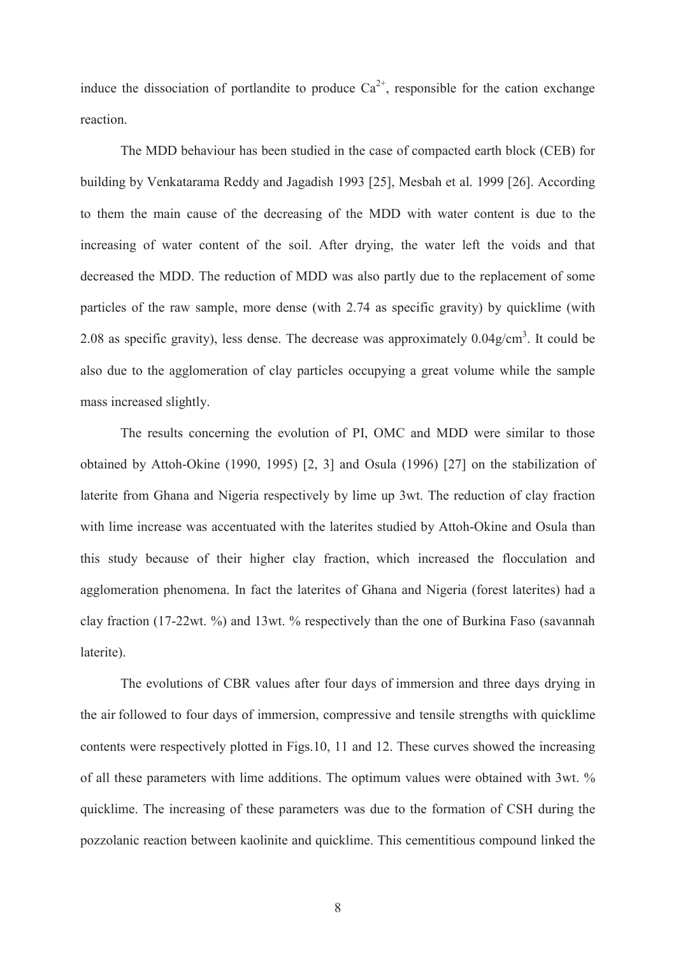induce the dissociation of portlandite to produce  $Ca^{2+}$ , responsible for the cation exchange reaction.

The MDD behaviour has been studied in the case of compacted earth block (CEB) for building by Venkatarama Reddy and Jagadish 1993 [25], Mesbah et al. 1999 [26]. According to them the main cause of the decreasing of the MDD with water content is due to the increasing of water content of the soil. After drying, the water left the voids and that decreased the MDD. The reduction of MDD was also partly due to the replacement of some particles of the raw sample, more dense (with 2.74 as specific gravity) by quicklime (with 2.08 as specific gravity), less dense. The decrease was approximately  $0.04$  g/cm<sup>3</sup>. It could be also due to the agglomeration of clay particles occupying a great volume while the sample mass increased slightly.

The results concerning the evolution of PI, OMC and MDD were similar to those obtained by Attoh-Okine (1990, 1995) [2, 3] and Osula (1996) [27] on the stabilization of laterite from Ghana and Nigeria respectively by lime up 3wt. The reduction of clay fraction with lime increase was accentuated with the laterites studied by Attoh-Okine and Osula than this study because of their higher clay fraction, which increased the flocculation and agglomeration phenomena. In fact the laterites of Ghana and Nigeria (forest laterites) had a clay fraction (17-22wt. %) and 13wt. % respectively than the one of Burkina Faso (savannah laterite).

The evolutions of CBR values after four days of immersion and three days drying in the air followed to four days of immersion, compressive and tensile strengths with quicklime contents were respectively plotted in Figs.10, 11 and 12. These curves showed the increasing of all these parameters with lime additions. The optimum values were obtained with 3wt. % quicklime. The increasing of these parameters was due to the formation of CSH during the pozzolanic reaction between kaolinite and quicklime. This cementitious compound linked the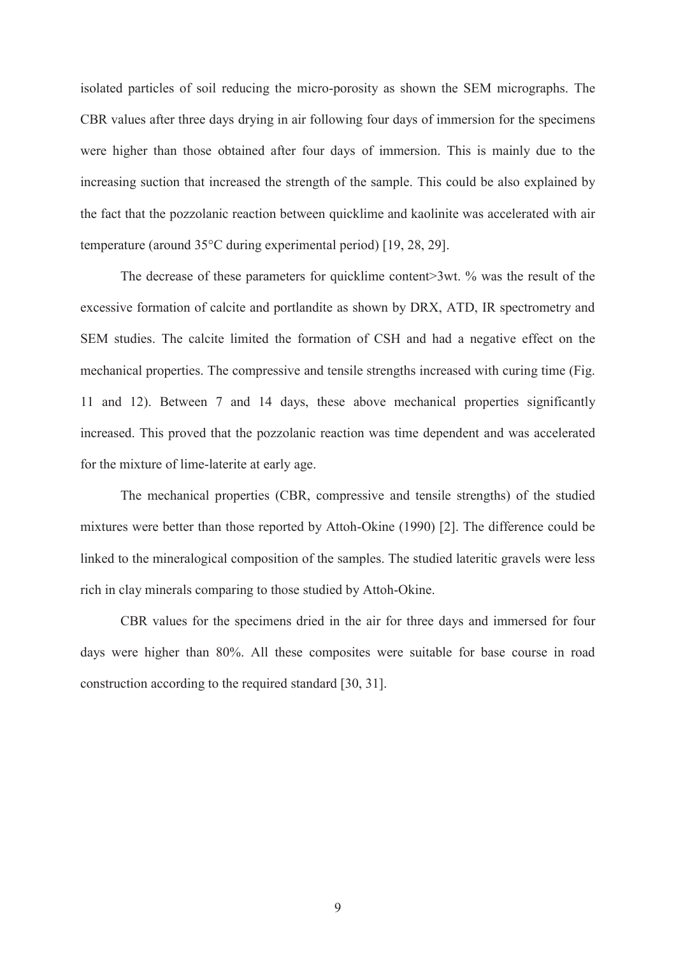isolated particles of soil reducing the micro-porosity as shown the SEM micrographs. The CBR values after three days drying in air following four days of immersion for the specimens were higher than those obtained after four days of immersion. This is mainly due to the increasing suction that increased the strength of the sample. This could be also explained by the fact that the pozzolanic reaction between quicklime and kaolinite was accelerated with air temperature (around 35°C during experimental period) [19, 28, 29].

The decrease of these parameters for quicklime content>3wt. % was the result of the excessive formation of calcite and portlandite as shown by DRX, ATD, IR spectrometry and SEM studies. The calcite limited the formation of CSH and had a negative effect on the mechanical properties. The compressive and tensile strengths increased with curing time (Fig. 11 and 12). Between 7 and 14 days, these above mechanical properties significantly increased. This proved that the pozzolanic reaction was time dependent and was accelerated for the mixture of lime-laterite at early age.

 The mechanical properties (CBR, compressive and tensile strengths) of the studied mixtures were better than those reported by Attoh-Okine (1990) [2]. The difference could be linked to the mineralogical composition of the samples. The studied lateritic gravels were less rich in clay minerals comparing to those studied by Attoh-Okine.

CBR values for the specimens dried in the air for three days and immersed for four days were higher than 80%. All these composites were suitable for base course in road construction according to the required standard [30, 31].

9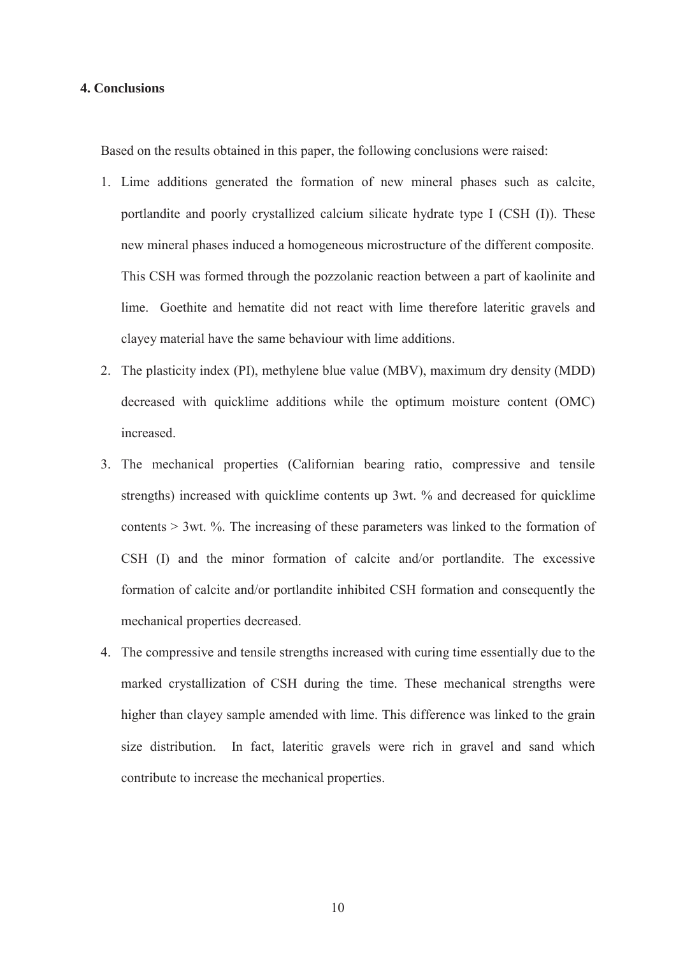#### **4. Conclusions**

Based on the results obtained in this paper, the following conclusions were raised:

- 1. Lime additions generated the formation of new mineral phases such as calcite, portlandite and poorly crystallized calcium silicate hydrate type I (CSH (I)). These new mineral phases induced a homogeneous microstructure of the different composite. This CSH was formed through the pozzolanic reaction between a part of kaolinite and lime. Goethite and hematite did not react with lime therefore lateritic gravels and clayey material have the same behaviour with lime additions.
- 2. The plasticity index (PI), methylene blue value (MBV), maximum dry density (MDD) decreased with quicklime additions while the optimum moisture content (OMC) increased.
- 3. The mechanical properties (Californian bearing ratio, compressive and tensile strengths) increased with quicklime contents up 3wt. % and decreased for quicklime contents > 3wt. %. The increasing of these parameters was linked to the formation of CSH (I) and the minor formation of calcite and/or portlandite. The excessive formation of calcite and/or portlandite inhibited CSH formation and consequently the mechanical properties decreased.
- 4. The compressive and tensile strengths increased with curing time essentially due to the marked crystallization of CSH during the time. These mechanical strengths were higher than clayey sample amended with lime. This difference was linked to the grain size distribution. In fact, lateritic gravels were rich in gravel and sand which contribute to increase the mechanical properties.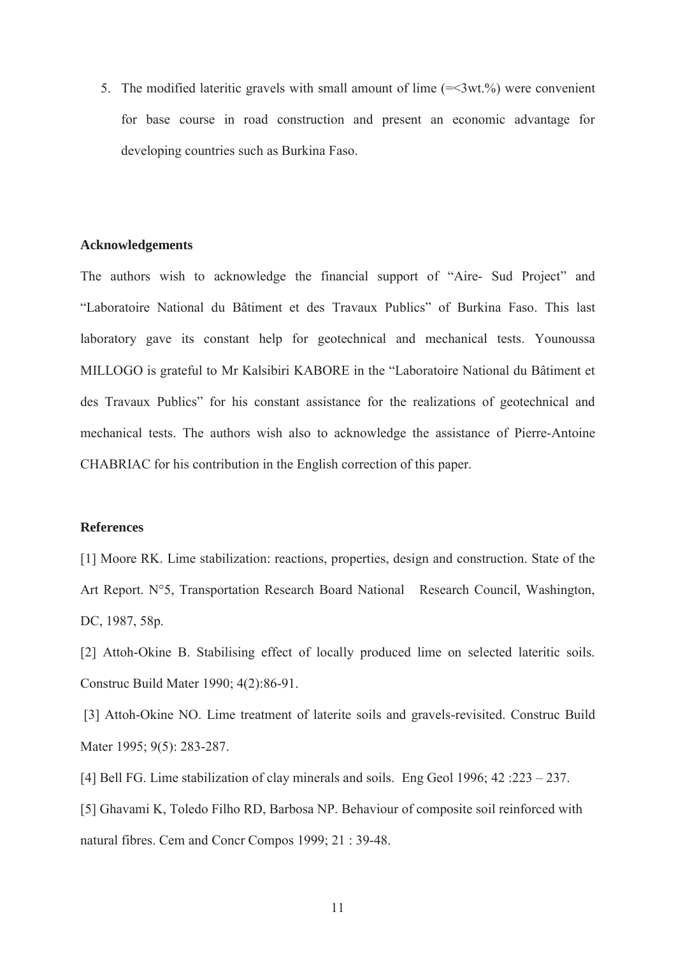5. The modified lateritic gravels with small amount of lime  $(=\langle 3wt \cdot 96 \rangle)$  were convenient for base course in road construction and present an economic advantage for developing countries such as Burkina Faso.

#### **Acknowledgements**

The authors wish to acknowledge the financial support of "Aire- Sud Project" and "Laboratoire National du Bâtiment et des Travaux Publics" of Burkina Faso. This last laboratory gave its constant help for geotechnical and mechanical tests. Younoussa MILLOGO is grateful to Mr Kalsibiri KABORE in the "Laboratoire National du Bâtiment et des Travaux Publics" for his constant assistance for the realizations of geotechnical and mechanical tests. The authors wish also to acknowledge the assistance of Pierre-Antoine CHABRIAC for his contribution in the English correction of this paper.

## **References**

[1] Moore RK. Lime stabilization: reactions, properties, design and construction. State of the Art Report. N°5, Transportation Research Board National Research Council, Washington, DC, 1987, 58p.

[2] Attoh-Okine B. Stabilising effect of locally produced lime on selected lateritic soils. Construc Build Mater 1990; 4(2):86-91.

 [3] Attoh-Okine NO. Lime treatment of laterite soils and gravels-revisited. Construc Build Mater 1995; 9(5): 283-287.

[4] Bell FG. Lime stabilization of clay minerals and soils. Eng Geol 1996; 42 :223 – 237. [5] Ghavami K, Toledo Filho RD, Barbosa NP. Behaviour of composite soil reinforced with

natural fibres. Cem and Concr Compos 1999; 21 : 39-48.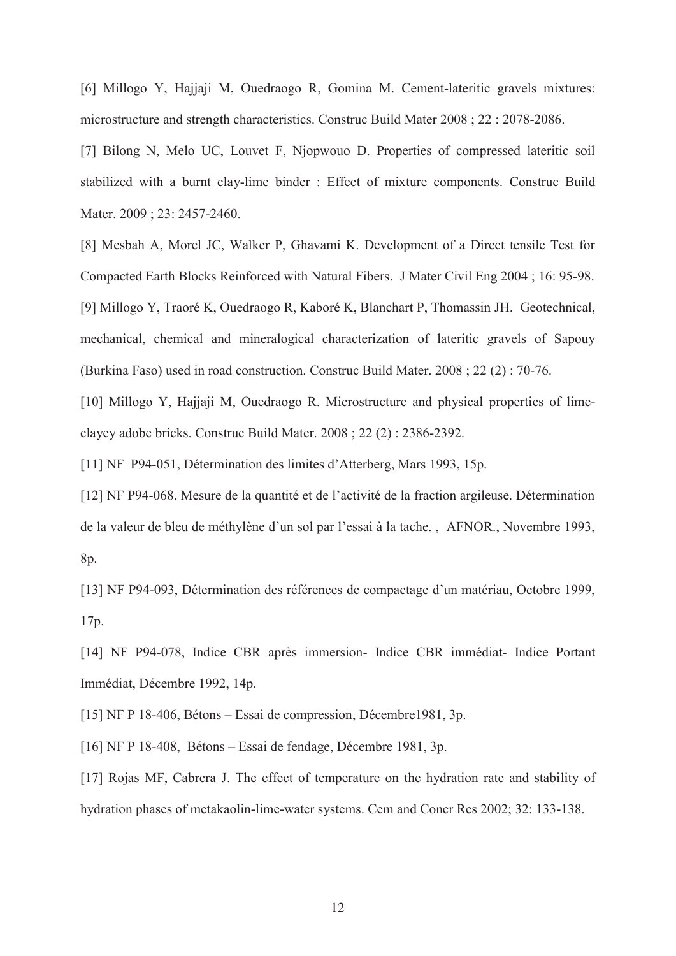[6] Millogo Y, Hajjaji M, Ouedraogo R, Gomina M. Cement-lateritic gravels mixtures: microstructure and strength characteristics. Construc Build Mater 2008 ; 22 : 2078-2086.

[7] Bilong N, Melo UC, Louvet F, Njopwouo D. Properties of compressed lateritic soil stabilized with a burnt clay-lime binder : Effect of mixture components. Construc Build Mater. 2009; 23: 2457-2460.

[8] Mesbah A, Morel JC, Walker P, Ghavami K. Development of a Direct tensile Test for Compacted Earth Blocks Reinforced with Natural Fibers. J Mater Civil Eng 2004 ; 16: 95-98. [9] Millogo Y, Traoré K, Ouedraogo R, Kaboré K, Blanchart P, Thomassin JH. Geotechnical, mechanical, chemical and mineralogical characterization of lateritic gravels of Sapouy (Burkina Faso) used in road construction. Construc Build Mater. 2008 ; 22 (2) : 70-76.

[10] Millogo Y, Hajjaji M, Ouedraogo R. Microstructure and physical properties of limeclayey adobe bricks. Construc Build Mater. 2008 ; 22 (2) : 2386-2392.

[11] NF P94-051, Détermination des limites d'Atterberg, Mars 1993, 15p.

[12] NF P94-068. Mesure de la quantité et de l'activité de la fraction argileuse. Détermination de la valeur de bleu de méthylène d'un sol par l'essai à la tache. , AFNOR., Novembre 1993, 8p.

[13] NF P94-093, Détermination des références de compactage d'un matériau, Octobre 1999, 17p.

[14] NF P94-078, Indice CBR après immersion- Indice CBR immédiat- Indice Portant Immédiat, Décembre 1992, 14p.

[15] NF P 18-406, Bétons – Essai de compression, Décembre1981, 3p.

[16] NF P 18-408, Bétons – Essai de fendage, Décembre 1981, 3p.

[17] Rojas MF, Cabrera J. The effect of temperature on the hydration rate and stability of hydration phases of metakaolin-lime-water systems. Cem and Concr Res 2002; 32: 133-138.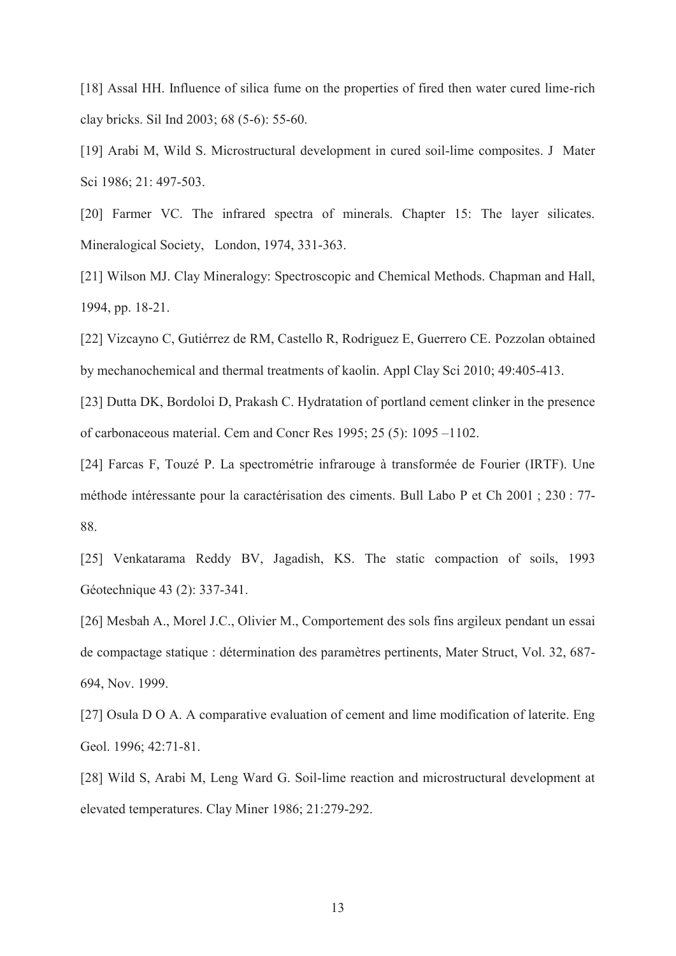[18] Assal HH. Influence of silica fume on the properties of fired then water cured lime-rich clay bricks. Sil Ind 2003; 68 (5-6): 55-60.

[19] Arabi M, Wild S. Microstructural development in cured soil-lime composites. J Mater Sci 1986; 21: 497-503.

[20] Farmer VC. The infrared spectra of minerals. Chapter 15: The layer silicates. Mineralogical Society, London, 1974, 331-363.

[21] Wilson MJ. Clay Mineralogy: Spectroscopic and Chemical Methods. Chapman and Hall, 1994, pp. 18-21.

[22] Vizcayno C, Gutiérrez de RM, Castello R, Rodriguez E, Guerrero CE. Pozzolan obtained by mechanochemical and thermal treatments of kaolin. Appl Clay Sci 2010; 49:405-413.

[23] Dutta DK, Bordoloi D, Prakash C. Hydratation of portland cement clinker in the presence of carbonaceous material. Cem and Concr Res 1995; 25 (5): 1095 –1102.

[24] Farcas F, Touzé P. La spectrométrie infrarouge à transformée de Fourier (IRTF). Une méthode intéressante pour la caractérisation des ciments. Bull Labo P et Ch 2001 ; 230 : 77- 88.

[25] Venkatarama Reddy BV, Jagadish, KS. The static compaction of soils, 1993 Géotechnique 43 (2): 337-341.

[26] Mesbah A., Morel J.C., Olivier M., Comportement des sols fins argileux pendant un essai de compactage statique : détermination des paramètres pertinents, Mater Struct, Vol. 32, 687- 694, Nov. 1999.

[27] Osula D O A. A comparative evaluation of cement and lime modification of laterite. Eng Geol. 1996; 42:71-81.

[28] Wild S, Arabi M, Leng Ward G. Soil-lime reaction and microstructural development at elevated temperatures. Clay Miner 1986; 21:279-292.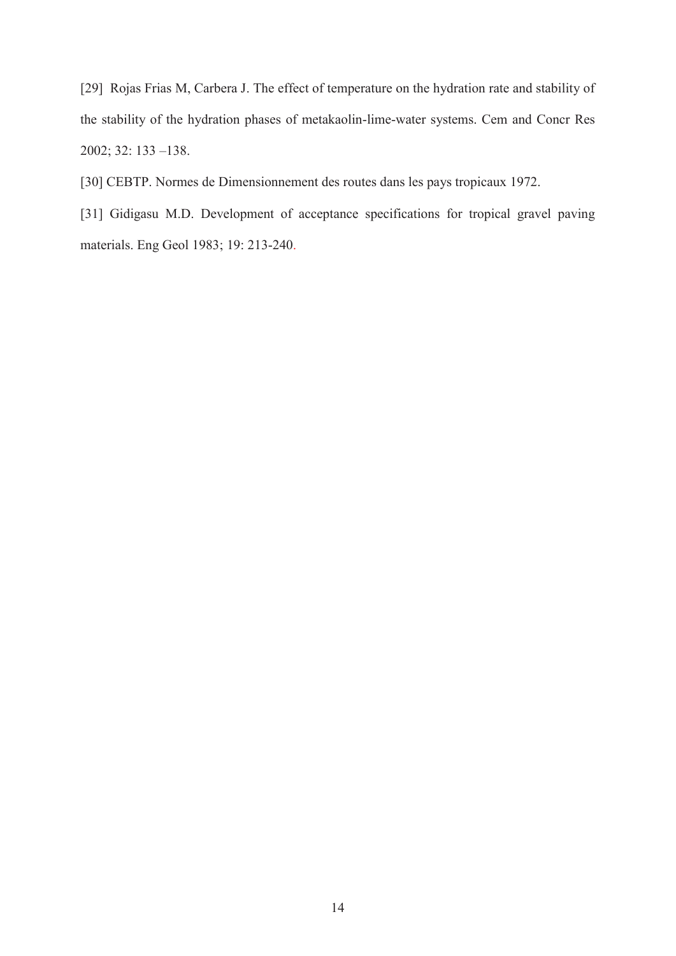[29] Rojas Frias M, Carbera J. The effect of temperature on the hydration rate and stability of the stability of the hydration phases of metakaolin-lime-water systems. Cem and Concr Res 2002; 32: 133 –138.

[30] CEBTP. Normes de Dimensionnement des routes dans les pays tropicaux 1972.

[31] Gidigasu M.D. Development of acceptance specifications for tropical gravel paving materials. Eng Geol 1983; 19: 213-240.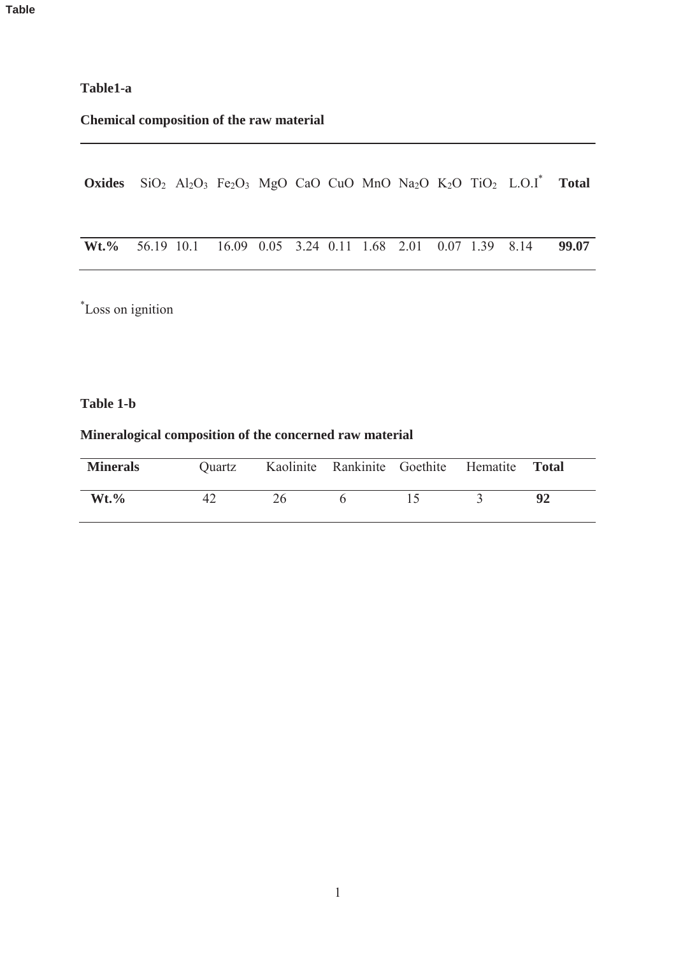# **Table1-a**

# **Chemical composition of the raw material**

Oxides SiO<sub>2</sub> Al<sub>2</sub>O<sub>3</sub> Fe<sub>2</sub>O<sub>3</sub> MgO CaO CuO MnO Na<sub>2</sub>O K<sub>2</sub>O TiO<sub>2</sub> L.O.I\* Total

| <b>Wt.%</b> 56.19 10.1 16.09 0.05 3.24 0.11 1.68 2.01 0.07 1.39 8.14 <b>99.07</b> |  |  |  |  |  |  |  |  |  |  |  |
|-----------------------------------------------------------------------------------|--|--|--|--|--|--|--|--|--|--|--|
|-----------------------------------------------------------------------------------|--|--|--|--|--|--|--|--|--|--|--|

\* Loss on ignition

#### **Table 1-b**

# **Mineralogical composition of the concerned raw material**

| <b>Minerals</b> | Quartz | Kaolinite Rankinite Goethite Hematite |  | <b>Total</b> |
|-----------------|--------|---------------------------------------|--|--------------|
| $Wt. \%$        | 42     |                                       |  |              |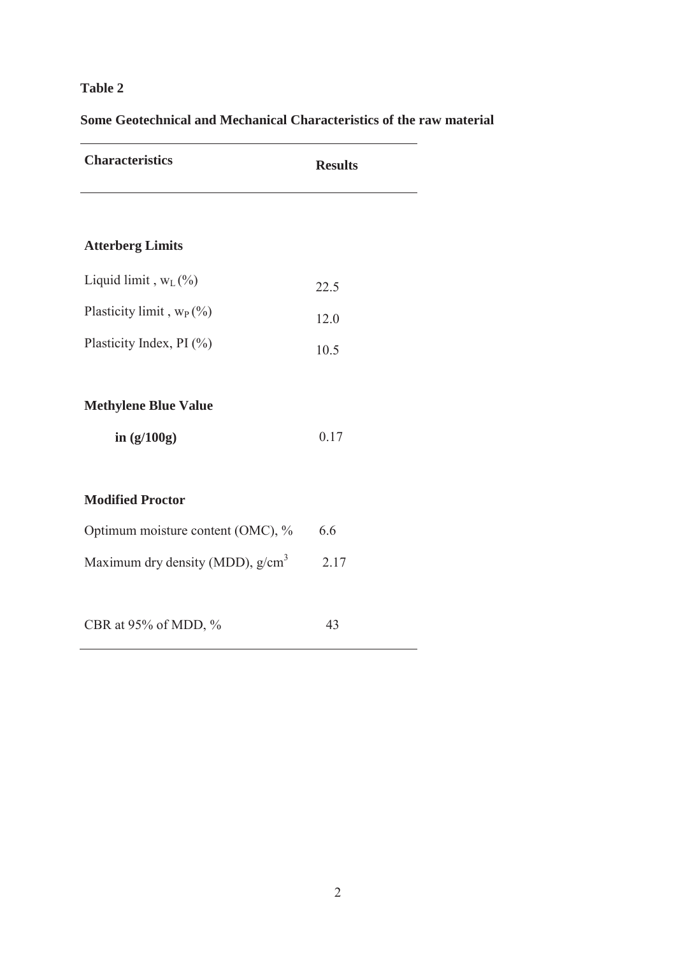# **Table 2**

# **Some Geotechnical and Mechanical Characteristics of the raw material**

| <b>Characteristics</b>                       | <b>Results</b> |
|----------------------------------------------|----------------|
|                                              |                |
| <b>Atterberg Limits</b>                      |                |
| Liquid limit, $W_L$ (%)                      | 22.5           |
| Plasticity limit, $w_P$ (%)                  | 12.0           |
| Plasticity Index, PI (%)                     | 10.5           |
| <b>Methylene Blue Value</b><br>in $(g/100g)$ | 0.17           |
| <b>Modified Proctor</b>                      |                |
| Optimum moisture content (OMC), %            | 6.6            |
| Maximum dry density (MDD), g/cm <sup>3</sup> | 2.17           |
| CBR at 95% of MDD, %                         | 43             |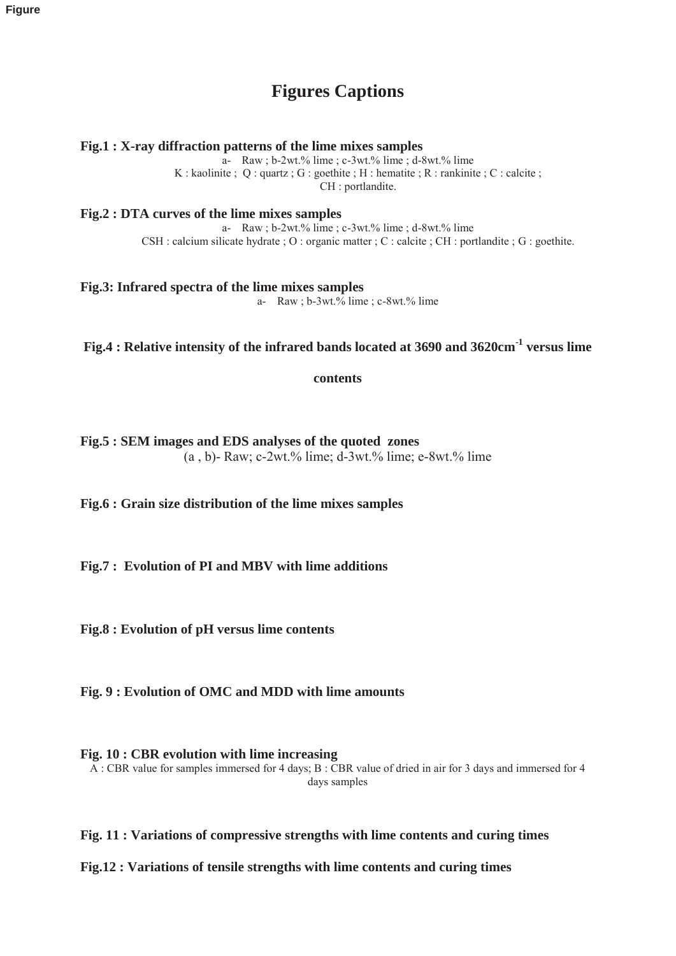# **Figures Captions**

**Fig.1 : X-ray diffraction patterns of the lime mixes samples**

 $a-$  Raw ; b-2wt.% lime ; c-3wt.% lime ; d-8wt.% lime K : kaolinite ;  $Q$  : quartz ;  $G$  : goethite ;  $H$  : hematite ;  $R$  : rankinite ;  $C$  : calcite ; CH : portlandite.

**Fig.2 : DTA curves of the lime mixes samples**

a- Raw ; b-2wt.% lime ; c-3wt.% lime ; d-8wt.% lime CSH : calcium silicate hydrate ; O : organic matter ; C : calcite ; CH : portlandite ; G : goethite.

**Fig.3: Infrared spectra of the lime mixes samples**  a- Raw ; b-3wt.% lime ; c-8wt.% lime

**Fig.4 : Relative intensity of the infrared bands located at 3690 and 3620cm-1 versus lime** 

**contents** 

**Fig.5 : SEM images and EDS analyses of the quoted zones**   $(a, b)$ - Raw; c-2wt.% lime; d-3wt.% lime; e-8wt.% lime

**Fig.6 : Grain size distribution of the lime mixes samples** 

**Fig.7 : Evolution of PI and MBV with lime additions** 

**Fig.8 : Evolution of pH versus lime contents** 

**Fig. 9 : Evolution of OMC and MDD with lime amounts** 

**Fig. 10 : CBR evolution with lime increasing**  A : CBR value for samples immersed for 4 days; B : CBR value of dried in air for 3 days and immersed for 4 days samples

**Fig. 11 : Variations of compressive strengths with lime contents and curing times** 

**Fig.12 : Variations of tensile strengths with lime contents and curing times**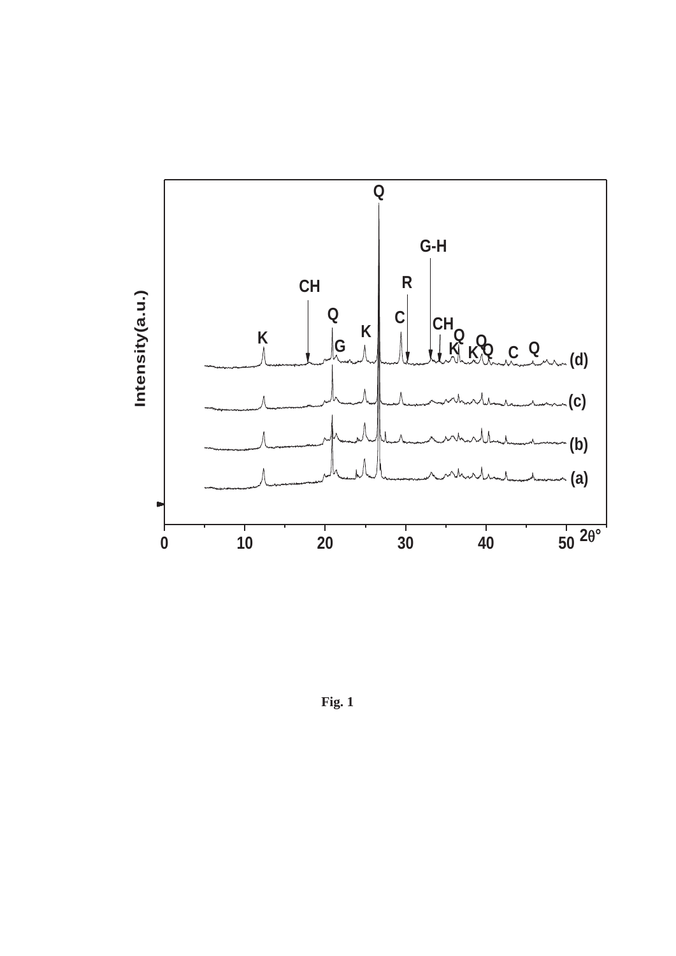

**Fig. 1**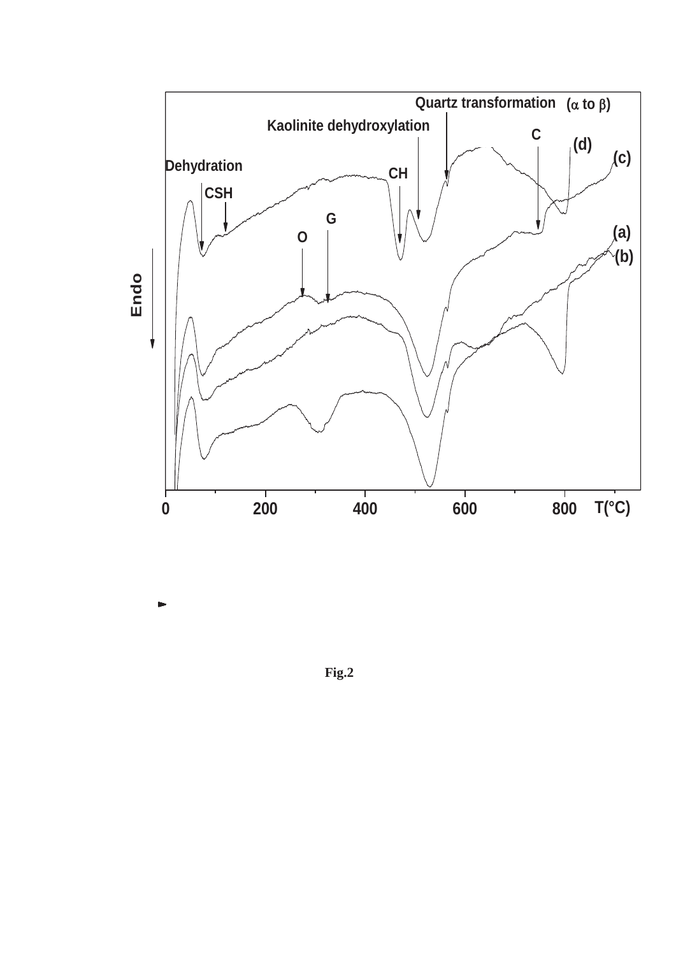

 **Fig.2**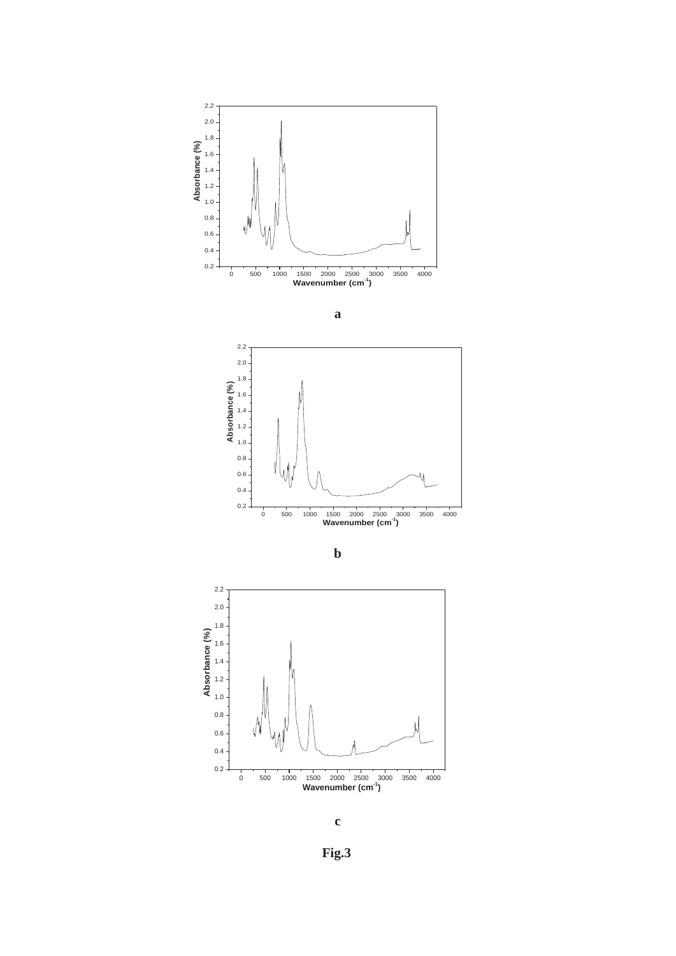











 **Fig.3**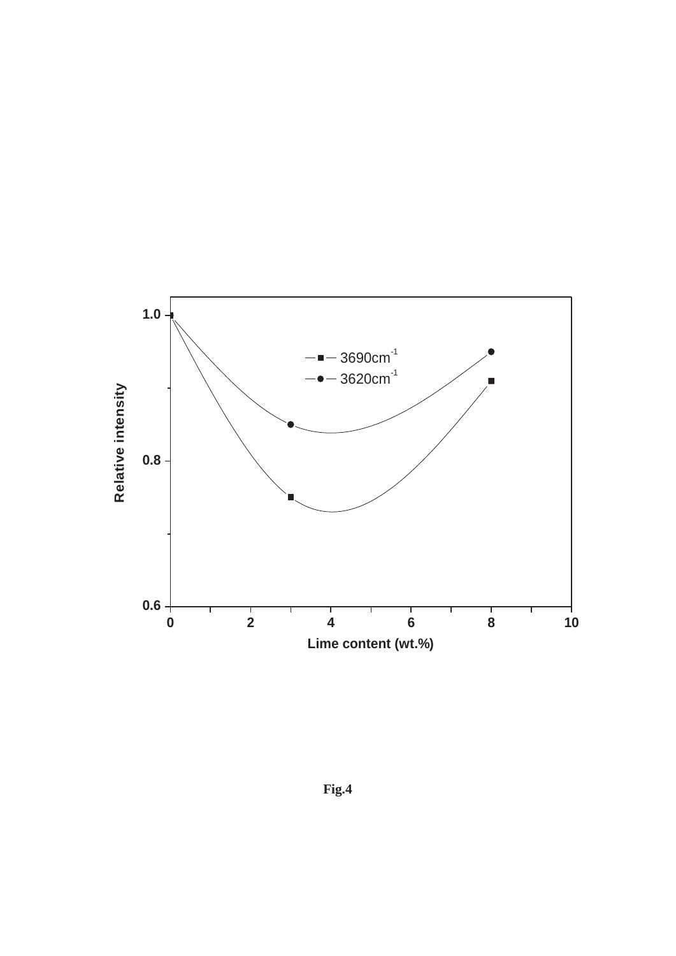

**Fig.4**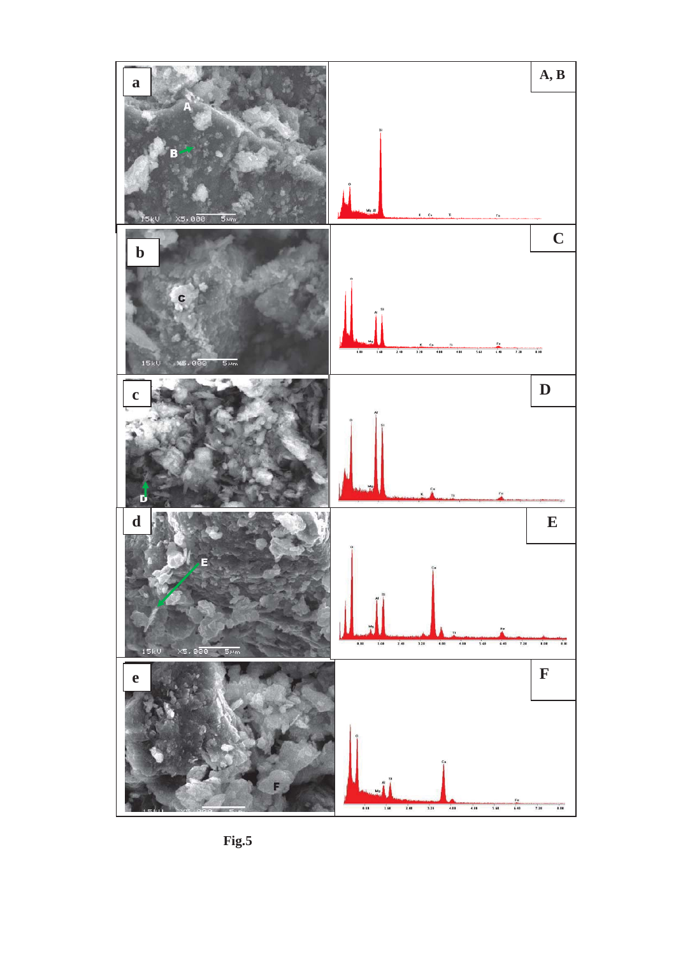

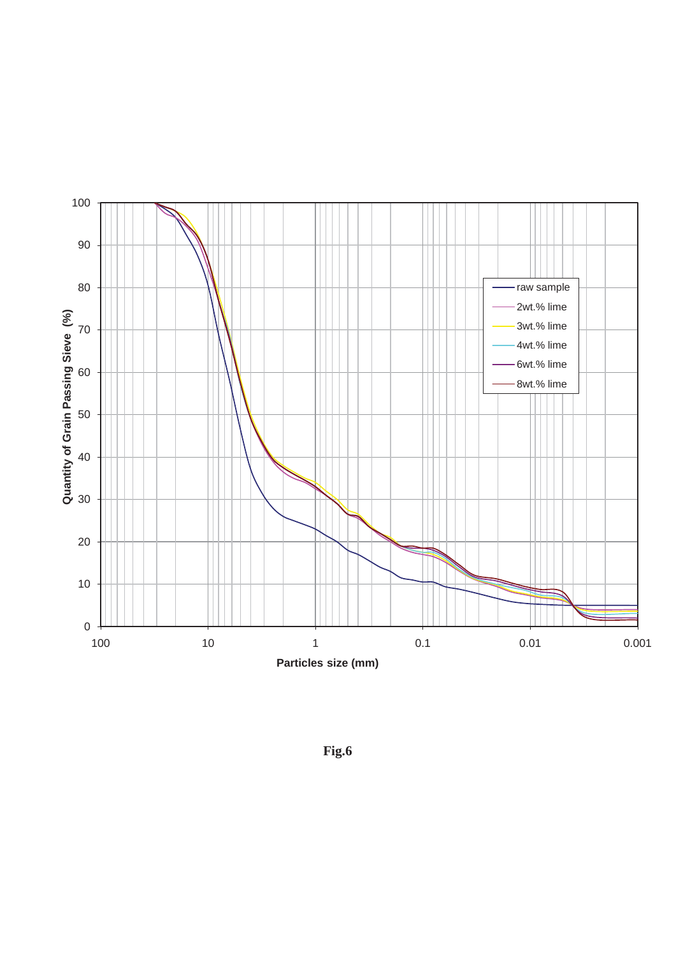

**Fig.6**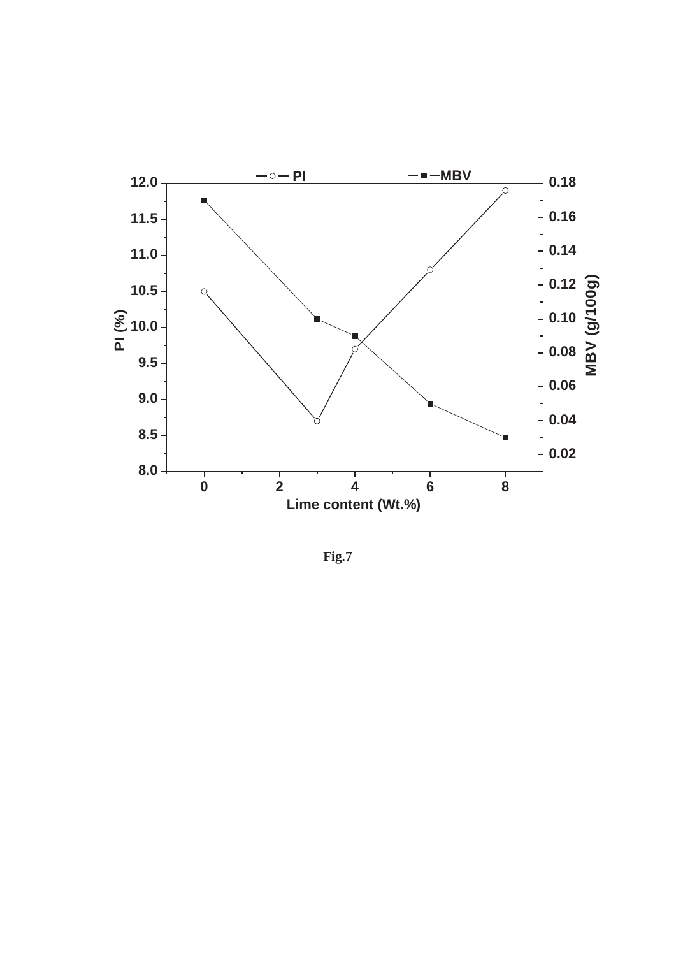

**Fig.7**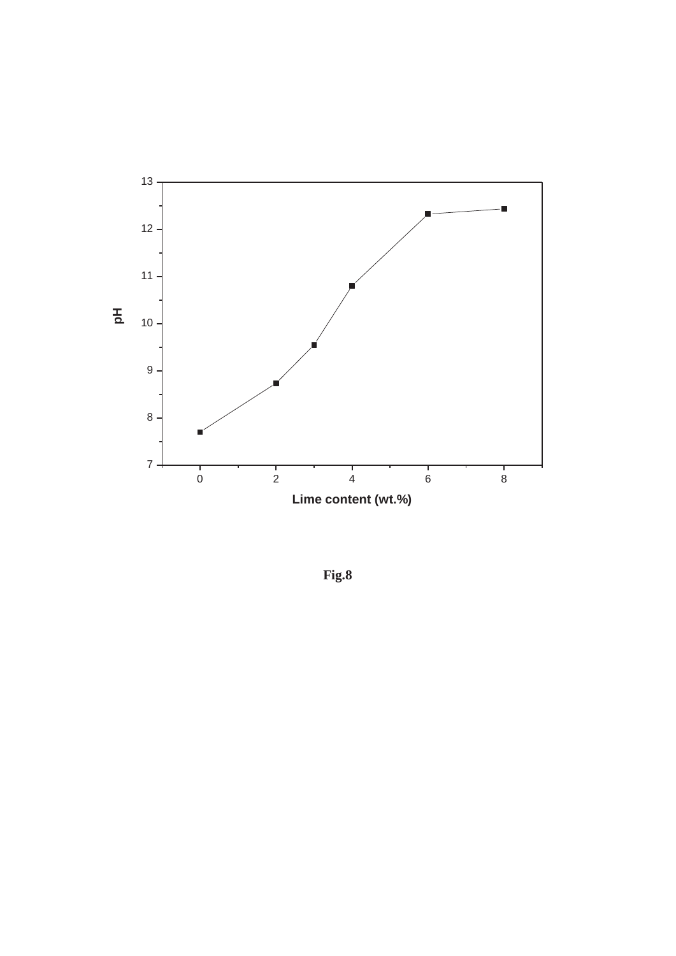

**Fig.8**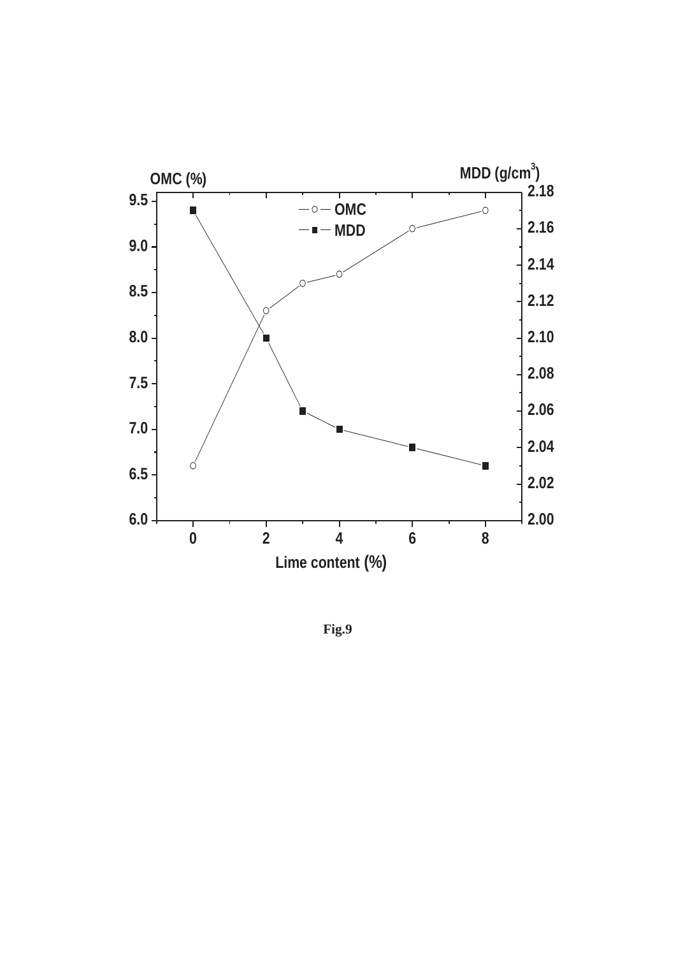

**Fig.9**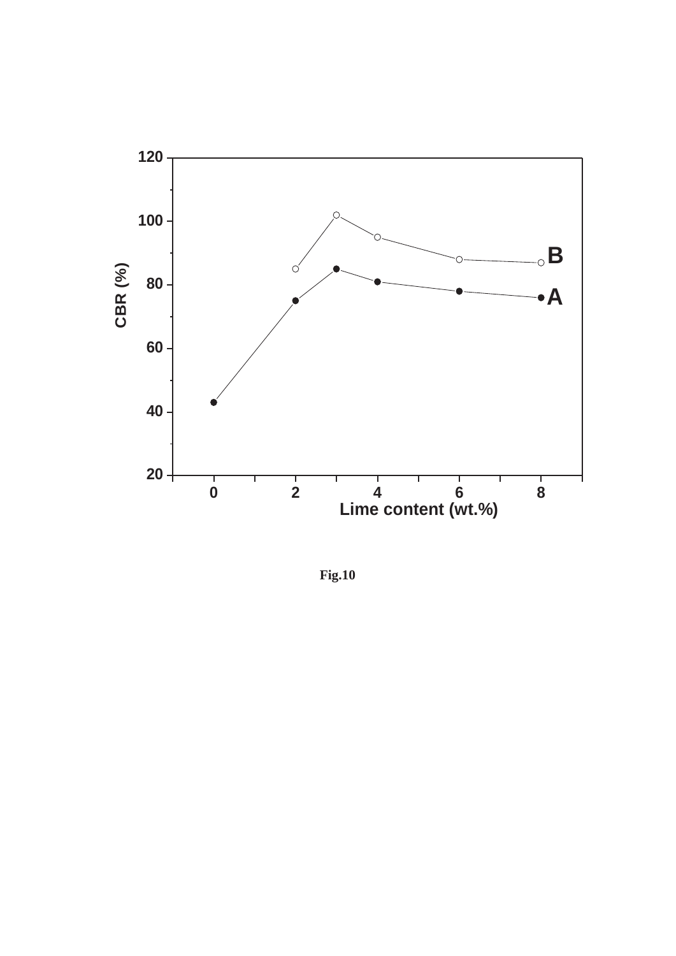

**Fig.10**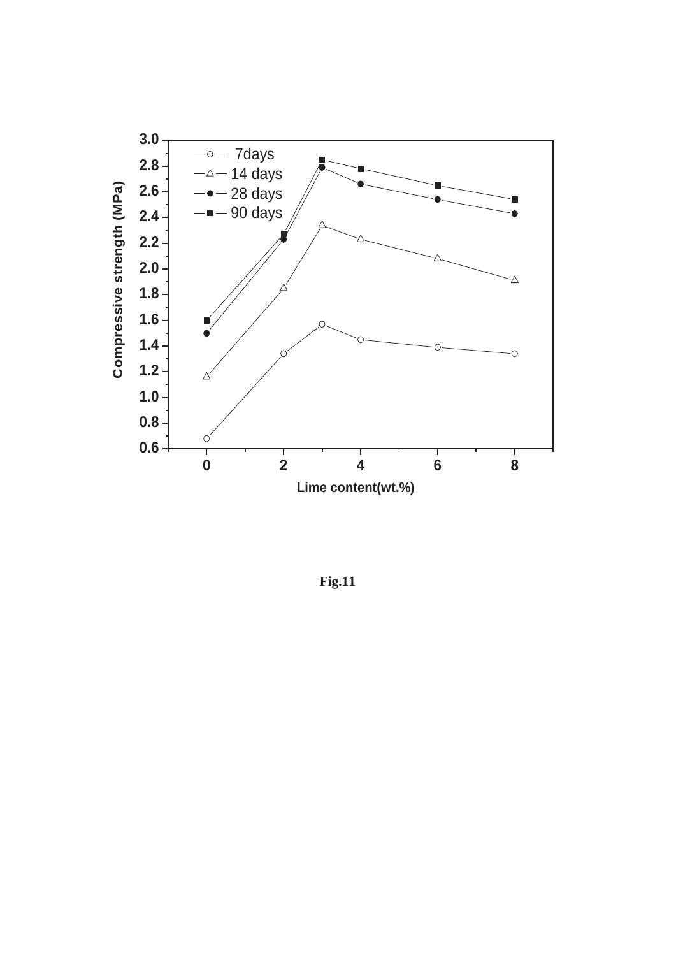

**Fig.11**